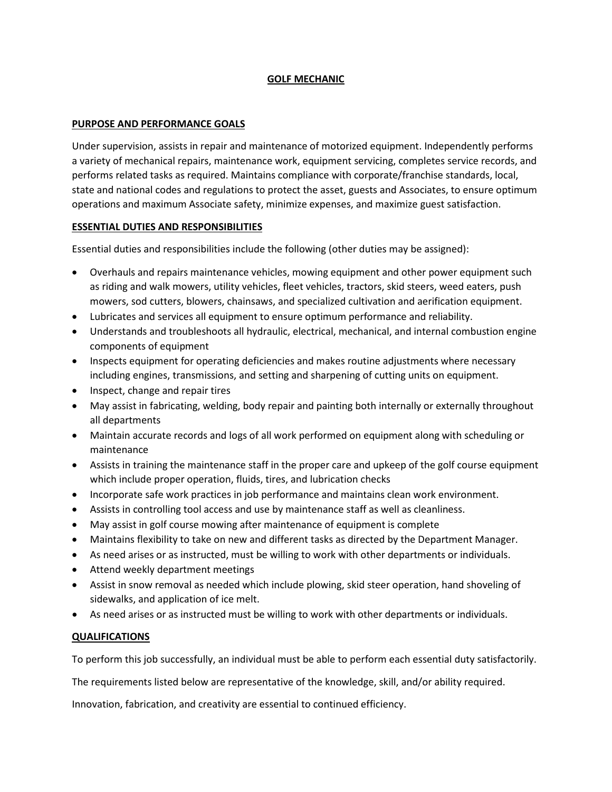# **GOLF MECHANIC**

# **PURPOSE AND PERFORMANCE GOALS**

Under supervision, assists in repair and maintenance of motorized equipment. Independently performs a variety of mechanical repairs, maintenance work, equipment servicing, completes service records, and performs related tasks as required. Maintains compliance with corporate/franchise standards, local, state and national codes and regulations to protect the asset, guests and Associates, to ensure optimum operations and maximum Associate safety, minimize expenses, and maximize guest satisfaction.

# **ESSENTIAL DUTIES AND RESPONSIBILITIES**

Essential duties and responsibilities include the following (other duties may be assigned):

- Overhauls and repairs maintenance vehicles, mowing equipment and other power equipment such as riding and walk mowers, utility vehicles, fleet vehicles, tractors, skid steers, weed eaters, push mowers, sod cutters, blowers, chainsaws, and specialized cultivation and aerification equipment.
- Lubricates and services all equipment to ensure optimum performance and reliability.
- Understands and troubleshoots all hydraulic, electrical, mechanical, and internal combustion engine components of equipment
- Inspects equipment for operating deficiencies and makes routine adjustments where necessary including engines, transmissions, and setting and sharpening of cutting units on equipment.
- Inspect, change and repair tires
- May assist in fabricating, welding, body repair and painting both internally or externally throughout all departments
- Maintain accurate records and logs of all work performed on equipment along with scheduling or maintenance
- Assists in training the maintenance staff in the proper care and upkeep of the golf course equipment which include proper operation, fluids, tires, and lubrication checks
- Incorporate safe work practices in job performance and maintains clean work environment.
- Assists in controlling tool access and use by maintenance staff as well as cleanliness.
- May assist in golf course mowing after maintenance of equipment is complete
- Maintains flexibility to take on new and different tasks as directed by the Department Manager.
- As need arises or as instructed, must be willing to work with other departments or individuals.
- Attend weekly department meetings
- Assist in snow removal as needed which include plowing, skid steer operation, hand shoveling of sidewalks, and application of ice melt.
- As need arises or as instructed must be willing to work with other departments or individuals.

# **QUALIFICATIONS**

To perform this job successfully, an individual must be able to perform each essential duty satisfactorily.

The requirements listed below are representative of the knowledge, skill, and/or ability required.

Innovation, fabrication, and creativity are essential to continued efficiency.